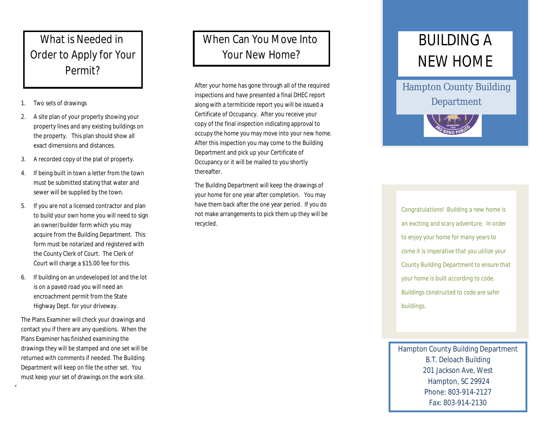## What is Needed in Order to Apply for Your Permit?

- 1. Two sets of drawings
- 2. A site plan of your property showing your property lines and any existing buildings on the property. This plan should show all exact dimensions and distances.
- 3. A recorded copy of the plat of property.
- 4. If being built in town a letter from the town must be submitted stating that water and sewer will be supplied by the town.
- 5. If you are not a licensed contractor and plan to build your own home you will need to sign an owner/builder form which you may acquire from the Building Department. This form must be notarized and registered with the County Clerk of Court. The Clerk of Court will charge a \$15.00 fee for this.
- 6. If building on an undeveloped lot and the lot is on a paved road you will need an encroachment permit from the State Highway Dept. for your driveway.

The Plans Examiner will check your drawings and contact you if there are any questions. When the Plans Examiner has finished examining the drawings they will be stamped and one set will be returned with comments if needed. The Building Department will keep on file the other set. You must keep your set of drawings on the work site.

 $4/2$ 1/2010  $\pm$ 

#### When Can You Move Into Your New Home?

After your home has gone through all of the required inspections and have presented a final DHEC report along with a termiticide report you will be issued a Certificate of Occupancy. After you receive your copy of the final inspection indicating approval to occupy the home you may move into your new home. After this inspection you may come to the Building Department and pick up your Certificate of Occupancy or it will be mailed to you shortly thereafter.

The Building Department will keep the drawings of your home for one year after completion. You may have them back after the one year period. If you do not make arrangements to pick them up they will be recycled.

# BUILDING A NEW HOME

Hampton County Building Department



*Congratulations! Building a new home is an exciting and scary adventure. In order to enjoy your home for many years to come it is imperative that you utilize your County Building Department to ensure that your home is built according to code. Buildings constructed to code are safer buildings.*

Hampton County Building Department B.T. Deloach Building 201 Jackson Ave, West Hampton, SC 29924 Phone: 803-914-2127 Fax: 803-914-2130